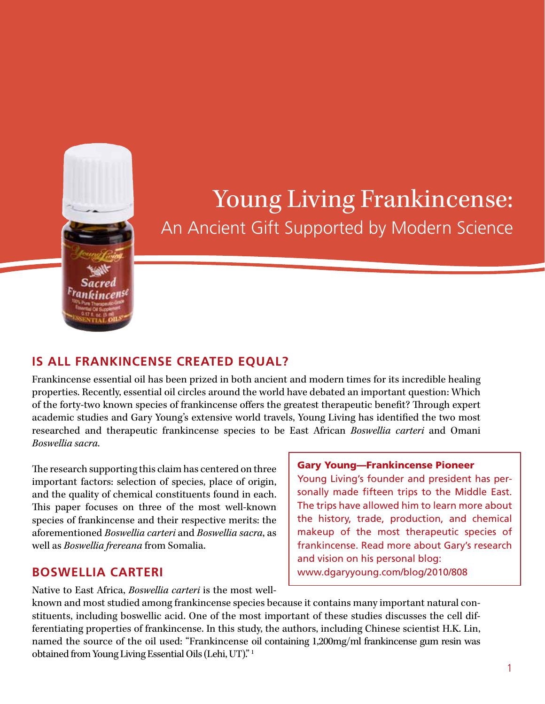

# Young Living Frankincense: An Ancient Gift Supported by Modern Science

# **Is all Frankincense Created Equal?**

Frankincense essential oil has been prized in both ancient and modern times for its incredible healing properties. Recently, essential oil circles around the world have debated an important question: Which of the forty-two known species of frankincense offers the greatest therapeutic benefit? Through expert academic studies and Gary Young's extensive world travels, Young Living has identified the two most researched and therapeutic frankincense species to be East African *Boswellia carteri* and Omani *Boswellia sacra*.

The research supporting this claim has centered on three important factors: selection of species, place of origin, and the quality of chemical constituents found in each. This paper focuses on three of the most well-known species of frankincense and their respective merits: the aforementioned *Boswellia carteri* and *Boswellia sacra*, as well as *Boswellia frereana* from Somalia.

# **Boswellia carteri**

Native to East Africa, *Boswellia carteri* is the most well-

#### Gary Young—Frankincense Pioneer

Young Living's founder and president has personally made fifteen trips to the Middle East. The trips have allowed him to learn more about the history, trade, production, and chemical makeup of the most therapeutic species of frankincense. Read more about Gary's research and vision on his personal blog: www.dgaryyoung.com/blog/2010/808

known and most studied among frankincense species because it contains many important natural constituents, including boswellic acid. One of the most important of these studies discusses the cell differentiating properties of frankincense. In this study, the authors, including Chinese scientist H.K. Lin, named the source of the oil used: "Frankincense oil containing 1,200mg/ml frankincense gum resin was obtained from Young Living Essential Oils (Lehi, UT)." 1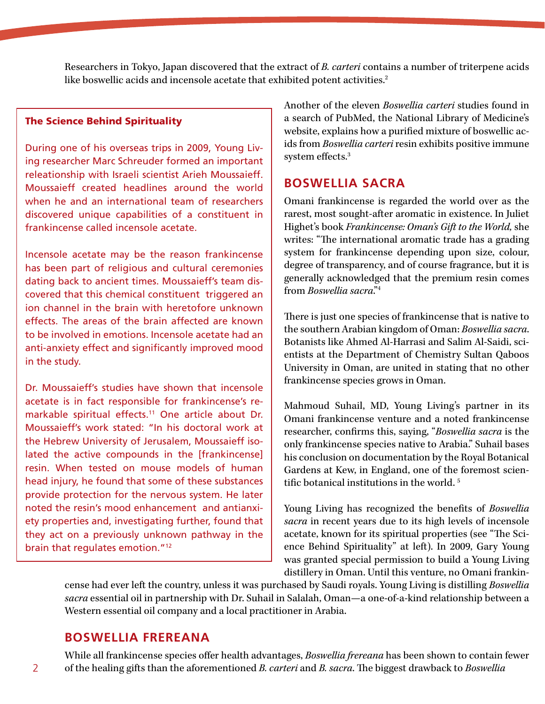Researchers in Tokyo, Japan discovered that the extract of *B. carteri* contains a number of triterpene acids like boswellic acids and incensole acetate that exhibited potent activities.<sup>2</sup>

#### The Science Behind Spirituality

During one of his overseas trips in 2009, Young Living researcher Marc Schreuder formed an important releationship with Israeli scientist Arieh Moussaieff. Moussaieff created headlines around the world when he and an international team of researchers discovered unique capabilities of a constituent in frankincense called incensole acetate.

Incensole acetate may be the reason frankincense has been part of religious and cultural ceremonies dating back to ancient times. Moussaieff's team discovered that this chemical constituent triggered an ion channel in the brain with heretofore unknown effects. The areas of the brain affected are known to be involved in emotions. Incensole acetate had an anti-anxiety effect and significantly improved mood in the study.

Dr. Moussaieff's studies have shown that incensole acetate is in fact responsible for frankincense's remarkable spiritual effects.<sup>11</sup> One article about Dr. Moussaieff's work stated: "In his doctoral work at the Hebrew University of Jerusalem, Moussaieff isolated the active compounds in the [frankincense] resin. When tested on mouse models of human head injury, he found that some of these substances provide protection for the nervous system. He later noted the resin's mood enhancement and antianxiety properties and, investigating further, found that they act on a previously unknown pathway in the brain that regulates emotion."12

Another of the eleven *Boswellia carteri* studies found in a search of PubMed, the National Library of Medicine's website, explains how a purified mixture of boswellic acids from *Boswellia carteri* resin exhibits positive immune system effects.3

#### **Boswellia sacra**

Omani frankincense is regarded the world over as the rarest, most sought-after aromatic in existence. In Juliet Highet's book *Frankincense: Oman's Gift to the World,* she writes: "The international aromatic trade has a grading system for frankincense depending upon size, colour, degree of transparency, and of course fragrance, but it is generally acknowledged that the premium resin comes from *Boswellia sacra*."4

There is just one species of frankincense that is native to the southern Arabian kingdom of Oman: *Boswellia sacra*. Botanists like Ahmed Al-Harrasi and Salim Al-Saidi, scientists at the Department of Chemistry Sultan Qaboos University in Oman, are united in stating that no other frankincense species grows in Oman.

Mahmoud Suhail, MD, Young Living's partner in its Omani frankincense venture and a noted frankincense researcher, confirms this, saying, "*Boswellia sacra* is the only frankincense species native to Arabia." Suhail bases his conclusion on documentation by the Royal Botanical Gardens at Kew, in England, one of the foremost scientific botanical institutions in the world. 5

Young Living has recognized the benefits of *Boswellia sacra* in recent years due to its high levels of incensole acetate, known for its spiritual properties (see "The Science Behind Spirituality" at left). In 2009, Gary Young was granted special permission to build a Young Living distillery in Oman. Until this venture, no Omani frankin-

cense had ever left the country, unless it was purchased by Saudi royals. Young Living is distilling *Boswellia sacra* essential oil in partnership with Dr. Suhail in Salalah, Oman—a one-of-a-kind relationship between a Western essential oil company and a local practitioner in Arabia.

#### **Boswellia frereana**

While all frankincense species offer health advantages, *Boswellia frereana* has been shown to contain fewer 2 of the healing gifts than the aforementioned *B. carteri* and *B. sacra*. The biggest drawback to *Boswellia*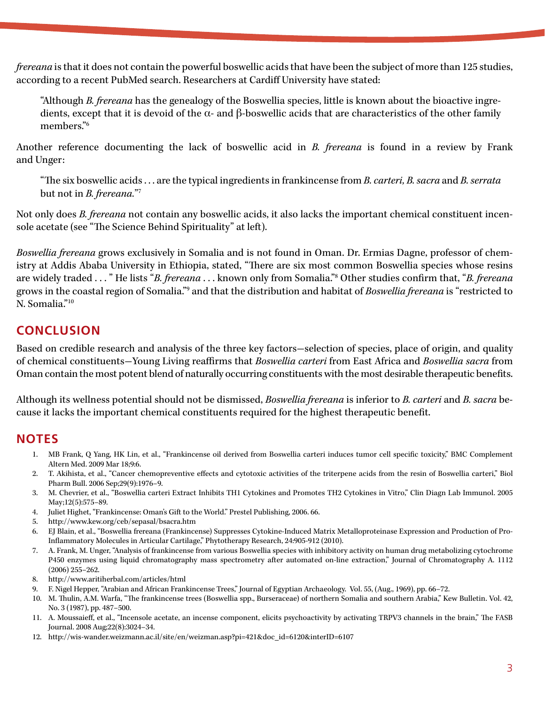*frereana* is that it does not contain the powerful boswellic acids that have been the subject of more than 125 studies, according to a recent PubMed search. Researchers at Cardiff University have stated:

"Although *B. frereana* has the genealogy of the Boswellia species, little is known about the bioactive ingredients, except that it is devoid of the α- and β-boswellic acids that are characteristics of the other family members."6

Another reference documenting the lack of boswellic acid in *B. frereana* is found in a review by Frank and Unger:

"The six boswellic acids . . . are the typical ingredients in frankincense from *B. carteri, B. sacra* and *B. serrata* but not in *B. frereana.*"7

Not only does *B. frereana* not contain any boswellic acids, it also lacks the important chemical constituent incensole acetate (see "The Science Behind Spirituality" at left).

*Boswellia frereana* grows exclusively in Somalia and is not found in Oman. Dr. Ermias Dagne, professor of chemistry at Addis Ababa University in Ethiopia, stated, "There are six most common Boswellia species whose resins are widely traded . . . " He lists "*B. frereana* . . . known only from Somalia."8 Other studies confirm that, "*B. frereana* grows in the coastal region of Somalia."9 and that the distribution and habitat of *Boswellia frereana* is "restricted to N. Somalia."10

# **Conclusion**

Based on credible research and analysis of the three key factors-selection of species, place of origin, and quality of chemical constituents-Young Living reaffirms that *Boswellia carteri* from East Africa and *Boswellia sacra* from Oman contain the most potent blend of naturally occurring constituents with the most desirable therapeutic benefits.

Although its wellness potential should not be dismissed, *Boswellia frereana* is inferior to *B. carteri* and *B. sacra* because it lacks the important chemical constituents required for the highest therapeutic benefit.

### **Notes**

- 1. MB Frank, Q Yang, HK Lin, et al., "Frankincense oil derived from Boswellia carteri induces tumor cell specific toxicity," BMC Complement Altern Med. 2009 Mar 18;9:6.
- 2. T. Akihista, et al., "Cancer chemopreventive effects and cytotoxic activities of the triterpene acids from the resin of Boswellia carteri," Biol Pharm Bull. 2006 Sep;29(9):1976–9.
- 3. M. Chevrier, et al., "Boswellia carteri Extract Inhibits TH1 Cytokines and Promotes TH2 Cytokines in Vitro," Clin Diagn Lab Immunol. 2005 May;12(5):575–89.
- 4. Juliet Highet, "Frankincense: Oman's Gift to the World." Prestel Publishing, 2006. 66.
- 5. http://www.kew.org/ceb/sepasal/bsacra.htm
- 6. EJ Blain, et al., "Boswellia frereana (Frankincense) Suppresses Cytokine-Induced Matrix Metalloproteinase Expression and Production of Pro-Inflammatory Molecules in Articular Cartilage," Phytotherapy Research, 24:905-912 (2010).
- 7. A. Frank, M. Unger, "Analysis of frankincense from various Boswellia species with inhibitory activity on human drug metabolizing cytochrome P450 enzymes using liquid chromatography mass spectrometry after automated on-line extraction," Journal of Chromatography A. 1112 (2006) 255–262.
- 8. http://www.aritiherbal.com/articles/html
- 9. F. Nigel Hepper, "Arabian and African Frankincense Trees," Journal of Egyptian Archaeology. Vol. 55, (Aug., 1969), pp. 66–72.
- 10. M. Thulin, A.M. Warfa, "The frankincense trees (Boswellia spp., Burseraceae) of northern Somalia and southern Arabia," Kew Bulletin. Vol. 42, No. 3 (1987), pp. 487–500.
- 11. A. Moussaieff, et al., "Incensole acetate, an incense component, elicits psychoactivity by activating TRPV3 channels in the brain," The FASB Journal. 2008 Aug;22(8):3024–34.
- 12. http://wis-wander.weizmann.ac.il/site/en/weizman.asp?pi=421&doc\_id=6120&interID=6107